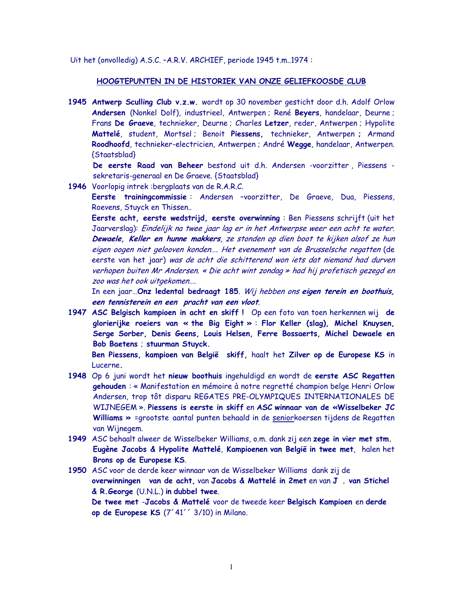Uit het (onvolledig) A.S.C. - A.R.V. ARCHIEF, periode 1945 t.m. 1974 :

## HOOGTEPUNTEN IN DE HISTORIEK VAN ONZE GELIEFKOOSDE CLUB

1945 Antwerp Sculling Club v.z.w. wordt op 30 november gesticht door d.h. Adolf Orlow Andersen (Nonkel Dolf), industrieel, Antwerpen; René Beyers, handelaar, Deurne; Frans De Graeve, technieker, Deurne ; Charles Letzer, reder, Antwerpen ; Hypolite Mattelé, student, Mortsel; Benoit Piessens, technieker, Antwerpen; Armand Roodhoofd, technieker-electricien, Antwerpen; André Wegge, handelaar, Antwerpen. {Staatsblad}

De eerste Raad van Beheer bestond uit d.h. Andersen -voorzitter, Piessens sekretaris-generaal en De Graeve. {Staatsblad}

1946 Voorlopig intrek: bergplaats van de R.A.R.C.

Eerste trainingcommissie: Andersen -voorzitter, De Graeve, Dua, Piessens, Roevens, Stuyck en Thissen..

Eerste acht, eerste wedstrijd, eerste overwinning : Ben Piessens schrijft (uit het Jaarverslag): Eindelijk na twee jaar lag er in het Antwerpse weer een acht te water. Dewaele, Keller en hunne makkers, ze stonden op dien boot te kijken alsof ze hun eigen oogen niet gelooven konden.... Het evenement van de Brusselsche regatten (de eerste van het jaar) was de acht die schitterend won iets dat niemand had durven verhopen buiten Mr Andersen. « Die acht wint zondag » had hij profetisch gezegd en zoo was het ook uitgekomen....

In een jaar...Onz ledental bedraagt 185. Wij hebben ons eigen terein en boothuis, een tennisterein en een pracht van een vloot.

1947 ASC Belgisch kampioen in acht en skiff! Op een foto van toen herkennen wij de glorierijke roeiers van « the Big Eight » : Flor Keller (slag), Michel Knuysen, Serge Sorber, Denis Geens, Louis Helsen, Ferre Bossaerts, Michel Dewaele en Bob Baetens ; stuurman Stuyck.

Ben Piessens, kampioen van België skiff, haalt het Zilver op de Europese KS in Lucerne.

- 1948 Op 6 juni wordt het nieuw boothuis ingehuldigd en wordt de eerste ASC Regatten gehouden : « Manifestation en mémoire à notre regretté champion belge Henri Orlow Andersen, trop tôt disparu REGATES PRE-OLYMPIQUES INTERNATIONALES DE WIJNEGEM ». Piessens is eerste in skiff en ASC winnaar van de «Wisselbeker JC Williams » = grootste aantal punten behaald in de seniorkoersen tijdens de Regatten van Wijnegem.
- 1949 ASC behaalt alweer de Wisselbeker Williams, o.m. dank zij een zege in vier met stm. Eugène Jacobs & Hypolite Mattelé, Kampioenen van België in twee met, halen het Brons op de Europese KS.
- 1950 ASC voor de derde keer winnaar van de Wisselbeker Williams dank zij de overwinningen van de acht, van Jacobs & Mattelé in 2met en van J. van Stichel & R.George (U.N.L.) in dubbel twee.

De twee met -Jacobs & Mattelé voor de tweede keer Belgisch Kampioen en derde op de Europese KS (7'41'' 3/10) in Milano.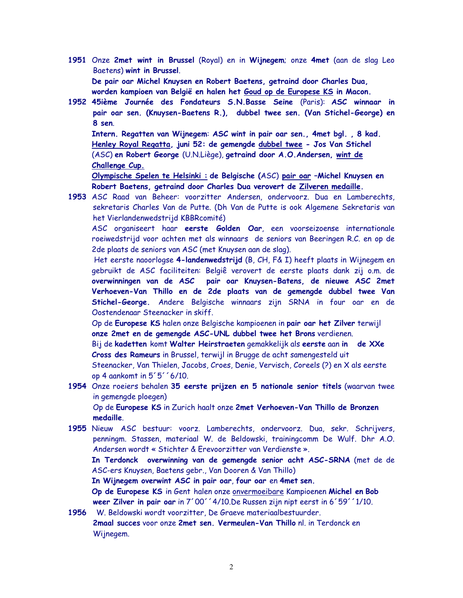- 1951 Onze 2met wint in Brussel (Royal) en in Wijnegem; onze 4met (aan de slag Leo Baetens) wint in Brussel. De pair oar Michel Knuysen en Robert Baetens, getraind door Charles Dua, worden kampioen van België en halen het Goud op de Europese KS in Macon.
- 1952 45ième Journée des Fondateurs S.N.Basse Seine (Paris): ASC winnaar in pair oar sen. (Knuysen-Baetens R.), dubbel twee sen. (Van Stichel-George) en 8 sen.

Intern. Regatten van Wijnegem: ASC wint in pair oar sen., 4met bgl., 8 kad. Henley Royal Regatta, juni 52: de gemengde dubbel twee - Jos Van Stichel (ASC) en Robert George (U.N.Liège), getraind door A.O.Andersen, wint de Challenge Cup.

Olympische Spelen te Helsinki : de Belgische (ASC) pair oar -Michel Knuysen en Robert Baetens, getraind door Charles Dua verovert de Zilveren medaille.

1953 ASC Raad van Beheer: voorzitter Andersen, ondervoorz, Dua en Lamberechts, sekretaris Charles Van de Putte. (Dh Van de Putte is ook Algemene Sekretaris van het Vierlandenwedstrijd KBBRcomité)

ASC organiseert haar eerste Golden Oar, een voorseizoense internationale roeiwedstrijd voor achten met als winnaars de seniors van Beeringen R.C. en op de 2de plaats de seniors van ASC (met Knuysen aan de slag).

Het eerste naoorlogse 4-landenwedstrijd (B, CH, F& I) heeft plaats in Wijnegem en gebruikt de ASC faciliteiten: Belgiê verovert de eerste plaats dank zij o.m. de overwinningen van de ASC pair oar Knuysen-Batens, de nieuwe ASC 2met Verhoeven-Van Thillo en de 2de plaats van de gemengde dubbel twee Van Stichel-George. Andere Belgische winnaars zijn SRNA in four oar en de Oostendenaar Steenacker in skiff.

Op de Europese KS halen onze Belgische kampioenen in pair oar het Zilver terwijl onze 2met en de gemengde ASC-UNL dubbel twee het Brons verdienen.

Bij de kadetten komt Walter Heirstraeten gemakkelijk als eerste aan in de XXe Cross des Rameurs in Brussel, terwijl in Brugge de acht samengesteld uit Steenacker, Van Thielen, Jacobs, Croes, Denie, Vervisch, Coreels (?) en X als eerste op 4 aankomt in 5'5''6/10.

1954 Onze roeiers behalen 35 eerste prijzen en 5 nationale senior titels (waarvan twee in gemengde ploegen)

Op de Europese KS in Zurich haalt onze 2met Verhoeven-Van Thillo de Bronzen medaille

1955 Nieuw ASC bestuur: voorz. Lamberechts, ondervoorz. Dua, sekr. Schrijvers, penningm. Stassen, materiaal W. de Beldowski, trainingcomm De Wulf. Dhr A.O. Andersen wordt « Stichter & Erevoorzitter van Verdienste ».

In Terdonck overwinning van de gemengde senior acht ASC-SRNA (met de de ASC-ers Knuysen, Baetens gebr., Van Dooren & Van Thillo)

In Wijnegem overwint ASC in pair oar, four oar en 4met sen.

Op de Europese KS in Gent halen onze onvermoeibare Kampioenen Michel en Bob weer Zilver in pair oar in 7'00' 4/10. De Russen zijn nipt eerst in 6'59' 1/10.

1956 W. Beldowski wordt voorzitter. De Graeve materiaalbestuurder. 2maal succes voor onze 2met sen. Vermeulen-Van Thillo nl. in Terdonck en Wijnegem.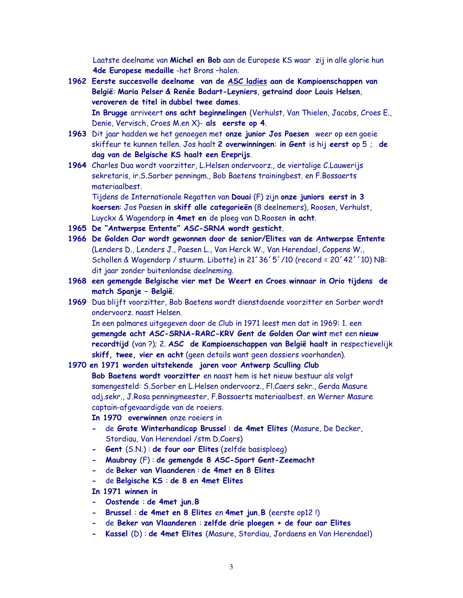Laatste deelname van Michel en Bob aan de Europese KS waar zij in alle glorie hun 4de Europese medaille-het Brons-halen.

1962 Eerste succesvolle deelname van de ASC ladies aan de Kampioenschappen van België: Maria Pelser & Renée Bodart-Leyniers, getraind door Louis Helsen, veroveren de titel in dubbel twee dames.

In Brugge arriveert ons acht beginnelingen (Verhulst, Van Thielen, Jacobs, Croes E., Denie, Vervisch, Croes M.en X)- als eerste op 4.

- 1963 Dit jaar hadden we het genoegen met onze junior Jos Paesen weer op een goeie skiffeur te kunnen tellen. Jos haalt 2 overwinningen: in Gent is hij eerst op 5; de dag van de Belgische KS haalt een Ereprijs.
- 1964 Charles Dua wordt voorzitter, L.Helsen ondervoorz., de viertalige C.Lauwerijs sekretaris, ir.S.Sorber penningm., Bob Baetens trainingbest. en F.Bossaerts materiaalbest.

Tijdens de Internationale Regatten van Douai (F) zijn onze juniors eerst in 3 koersen: Jos Paesen in skiff alle categorieën (8 deelnemers), Roosen, Verhulst, Luyckx & Wagendorp in 4met en de ploeg van D.Roosen in acht.

- 1965 De "Antwerpse Entente" ASC-SRNA wordt gesticht.
- 1966 De Golden Oar wordt gewonnen door de senior/Elites van de Antwerpse Entente (Lenders D., Lenders J., Paesen L., Van Herck W., Van Herendael, Coppens W., Schollen & Wagendorp / stuurm. Libotte) in 21'36'5'/10 (record = 20'42''10) NB: dit jaar zonder buitenlandse deelneming.
- 1968 een gemengde Belgische vier met De Weert en Croes winnaar in Orio tijdens de match Spanje - België.
- 1969 Dua blijft voorzitter, Bob Baetens wordt dienstdoende voorzitter en Sorber wordt ondervoorz, naast Helsen.

In een palmares uitgegeven door de Club in 1971 leest men dat in 1969: 1. een gemengde acht ASC-SRNA-RARC-KRV Gent de Golden Oar wint met een nieuw recordtijd (van ?); 2. ASC de Kampioenschappen van België haalt in respectievelijk skiff, twee, vier en acht (geen details want geen dossiers voorhanden).

- 1970 en 1971 worden uitstekende jaren voor Antwerp Sculling Club Bob Baetens wordt voorzitter en naast hem is het nieuw bestuur als volgt samengesteld: S.Sorber en L.Helsen ondervoorz., Fl.Caers sekr., Gerda Masure adj.sekr., J.Rosa penningmeester, F.Bossaerts materiaalbest. en Werner Masure captain-afgevaardigde van de roeiers.
	- In 1970 overwinnen onze roeiers in
	- de Grote Winterhandicap Brussel : de 4met Elites (Masure, De Decker, Stordiau, Van Herendael /stm D.Caers)
	- Gent (S.N.): de four oar Elites (zelfde basisploeg)
	- Maubray (F): de gemengde 8 ASC-Sport Gent-Zeemacht
	- de Beker van Vlaanderen : de 4met en 8 Elites
	- de Belgische KS : de 8 en 4met Elites
	- In 1971 winnen in
	- Oostende : de 4met jun. B
	- Brussel: de 4met en 8 Elites en 4met jun. B (eerste op12!)
	- de Beker van Vlaanderen : zelfde drie ploegen + de four oar Elites
	- Kassel (D): de 4met Elites (Masure, Stordiau, Jordaens en Van Herendael)